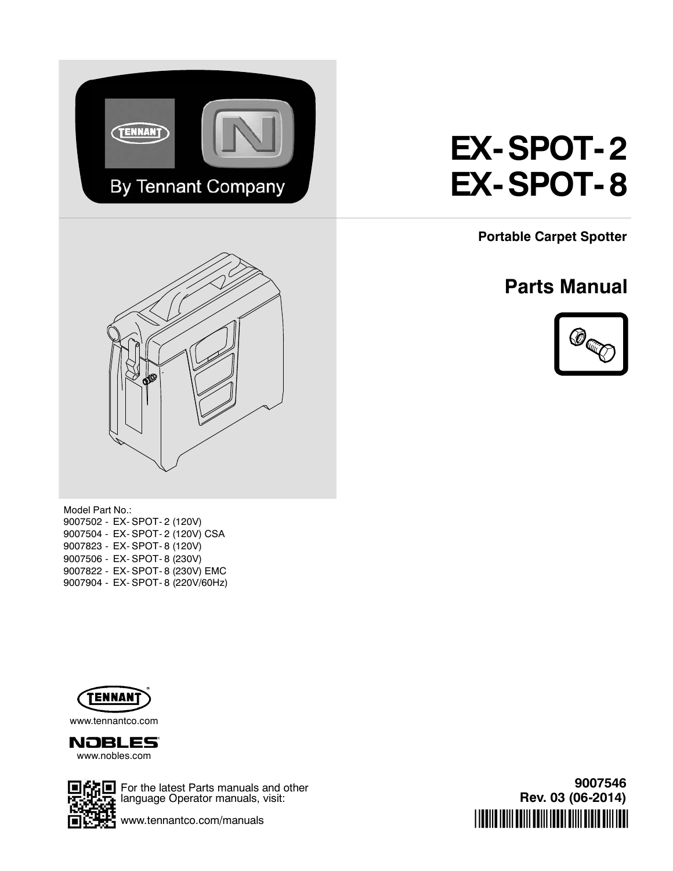

# **EX- SPOT- 2 EX- SPOT- 8**

**Portable Carpet Spotter**

# **Parts Manual**





Model Part No.: 9007502 - EX- SPOT- 2 (120V) 9007504 - EX- SPOT- 2 (120V) CSA 9007823 - EX- SPOT- 8 (120V) 9007506 - EX- SPOT- 8 (230V) 9007822 - EX- SPOT- 8 (230V) EMC 9007904 - EX- SPOT- 8 (220V/60Hz)



www.tennantco.com





**石画** For the latest Parts manuals and other  $\frac{1}{2}$  language Operator manuals, visit:

www.tennantco.com/manuals

**9007546 Rev. 03 (06-2014)** \*9007546\*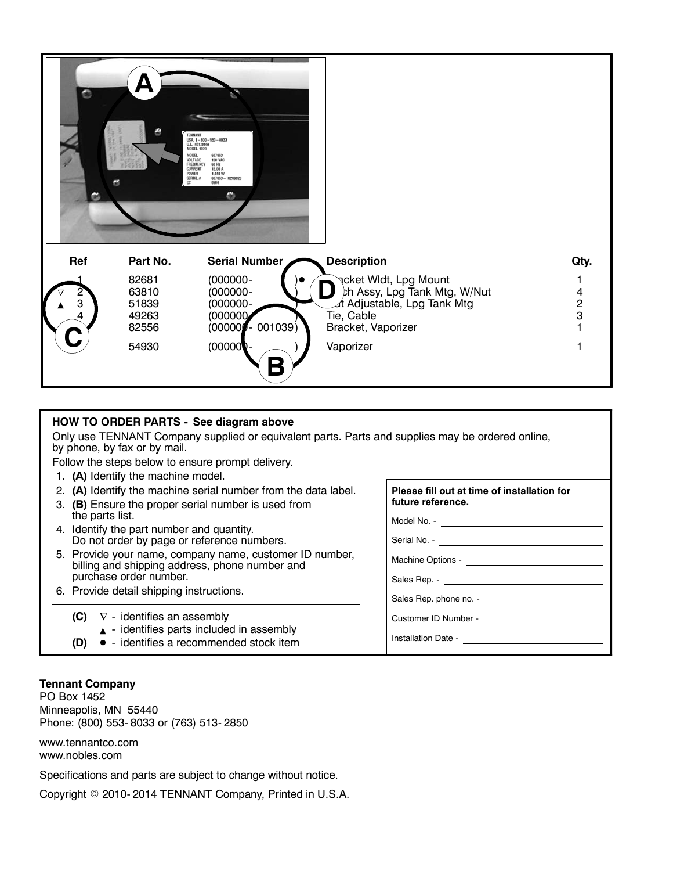| $\circ$<br>o | G        | TENNANT<br>USA, 1-800-553-8033<br>U.L. #E128659<br><b>MODEL 1220</b><br>607863<br>MODEL<br><b>120 VAC</b><br>VOLTAGE<br>FREQUENCY<br>60 Hz<br>12.00 A<br><b>CURRENT</b><br>1,448 W<br>POWER<br>607853-10288920<br>SERIAL #<br>DC<br>0505<br>$\mathfrak{S}$ |                               |               |
|--------------|----------|------------------------------------------------------------------------------------------------------------------------------------------------------------------------------------------------------------------------------------------------------------|-------------------------------|---------------|
| Ref          | Part No. | Serial Number                                                                                                                                                                                                                                              | <b>Description</b>            | Qty.          |
|              | 82681    | $(000000 -$                                                                                                                                                                                                                                                | <b>२</b> cket Wldt, Lpg Mount |               |
|              | 63810    | $(000000 -$                                                                                                                                                                                                                                                | ch Assy, Lpg Tank Mtg, W/Nut  |               |
| 3            | 51839    | $(000000 -$                                                                                                                                                                                                                                                | ⊿t Adjustable, Lpg Tank Mtg   | $\frac{2}{3}$ |
| 4            | 49263    | (000000)                                                                                                                                                                                                                                                   | Tie, Cable                    |               |
|              | 82556    | 001039)<br>(00000)                                                                                                                                                                                                                                         | Bracket, Vaporizer            |               |
| $\mathbf C$  | 54930    | (00000)<br>U<br>D                                                                                                                                                                                                                                          | Vaporizer                     |               |

#### **HOW TO ORDER PARTS - See diagram above**

Only use TENNANT Company supplied or equivalent parts. Parts and supplies may be ordered online, by phone, by fax or by mail.

**Please fill out at time of installation for**

Machine Options -

Customer ID Number -

Sales Rep. phone no. - **compared the Sales** 

**future reference.**

Sales Rep. -

Installation Date -

Model No. - Serial No. -

Follow the steps below to ensure prompt delivery.

- 1. **(A)** Identify the machine model.
- 2. **(A)** Identify the machine serial number from the data label.
- 3. **(B)** Ensure the proper serial number is used from the parts list.
- 4. Identify the part number and quantity. Do not order by page or reference numbers.
- 5. Provide your name, company name, customer ID number, billing and shipping address, phone number and purchase order number.
- 6. Provide detail shipping instructions.
	- **(C)**  $\nabla$  identifies an assembly
		- $\triangle$  identifies parts included in assembly
	- **(D)** - identifies a recommended stock item

#### **Tennant Company**

PO Box 1452 Minneapolis, MN 55440 Phone: (800) 553- 8033 or (763) 513- 2850

www.tennantco.com www.nobles.com

Specifications and parts are subject to change without notice.

Copyright © 2010-2014 TENNANT Company, Printed in U.S.A.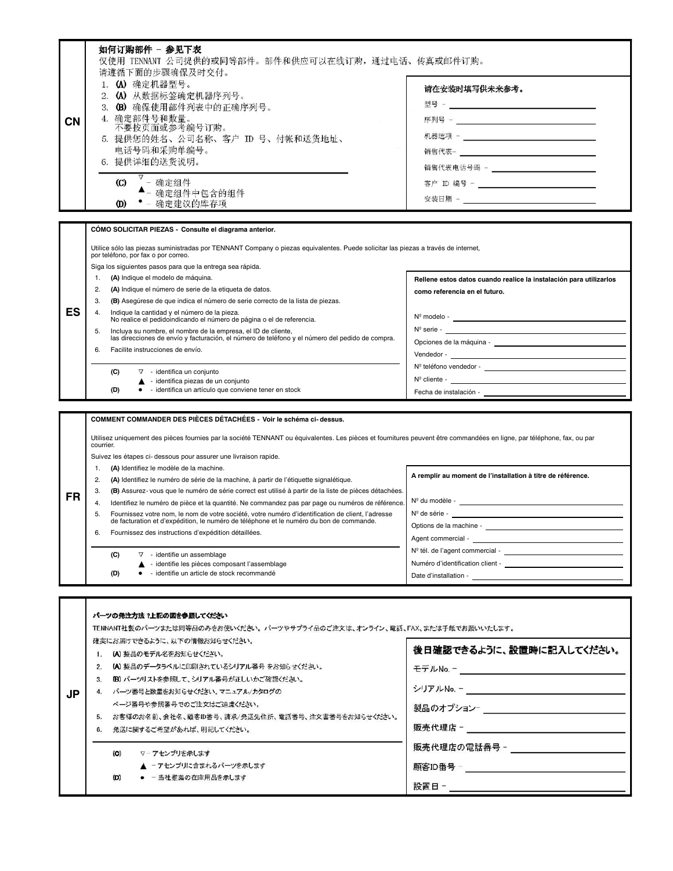| <b>CN</b> | 如何订购部件 - 参见下表<br>仅使用 TENNANT 公司提供的或同等部件。部件和供应可以在线订购,通过电话、传真或邮件订购。<br>请遵循下面的步骤确保及时交付。<br>1. (A) 确定机器型号。<br>2. (A) 从数据标签确定机器序列号。<br>3. (B) 确保使用部件列表中的正确序列号。<br>4. 确定部件号和数量。<br>不要按页面或参考编号订购。<br>5. 提供您的姓名、公司名称、客户 ID 号、付帐和送货地址、<br>电话号码和采购单编号。<br>6. 提供详细的送货说明。<br>- 确定组件<br>$\rm (C)$<br>▲- 确定组件中包含的组件<br>确定建议的库存项<br>(D)                                                                                                                                                                            | 请在安装时填写供未来参考。<br>客户 ID 编号 - _________________________________                                       |
|-----------|-----------------------------------------------------------------------------------------------------------------------------------------------------------------------------------------------------------------------------------------------------------------------------------------------------------------------------------------------------------------------------------------------------------------------------------------------------------------------------------------------------|-----------------------------------------------------------------------------------------------------|
|           | CÓMO SOLICITAR PIEZAS - Consulte el diagrama anterior.<br>Utilice sólo las piezas suministradas por TENNANT Company o piezas equivalentes. Puede solicitar las piezas a través de internet,<br>por teléfono, por fax o por correo.<br>Siga los siguientes pasos para que la entrega sea rápida.<br>(A) Indique el modelo de máquina.<br>1.<br>(A) Indique el número de serie de la etiqueta de datos.<br>2.<br>(B) Asegúrese de que indica el número de serie correcto de la lista de piezas.<br>3. | Rellene estos datos cuando realice la instalación para utilizarlos<br>como referencia en el futuro. |

- 4. Indique la cantidad y el número de la pieza. No realice el pedidoindicando el número de página o el de referencia.
- 5. Incluya su nombre, el nombre de la empresa, el ID de cliente, las direcciones de envío y facturación, el número de teléfono y el número del pedido de compra.
- 6. Facilite instrucciones de envío.

**ES**

**FR**

 $\mathbf{I}$ 

- **(C)**  $\triangledown$  identifica un conjunto
	- $\blacktriangle$  identifica piezas de un conjunto
- **(D)**  $\bullet$  identifica un artículo que conviene tener en stock
- **COMMENT COMMANDER DES PIÈCES DÉTACHÉES Voir le schéma ci- dessus.**

Utilisez uniquement des pièces fournies par la société TENNANT ou équivalentes. Les pièces et fournitures peuvent être commandées en ligne, par téléphone, fax, ou par courrier.

- Suivez les étapes ci- dessous pour assurer une livraison rapide.
- 1. **(A)** Identifiez le modèle de la machine.
- 2. **(A)** Identifiez le numéro de série de la machine, à partir de l'étiquette signalétique.
- 3. **(B)** Assurez- vous que le numéro de série correct est utilisé à partir de la liste de pièces détachées.
- 4. Identifiez le numéro de pièce et la quantité. Ne commandez pas par page ou numéros de référence.
- 5. Fournissez votre nom, le nom de votre société, votre numéro d'identification de client, l'adresse de facturation et d'expédition, le numéro de téléphone et le numéro du bon de commande.
- 6. Fournissez des instructions d'expédition détaillées.
	- **(C)**  $\triangledown$  identifie un assemblage
	- $\blacktriangle$  identifie les pièces composant l'assemblage
	- **(D)** identifie un article de stock recommandé

**A remplir au moment de l'installation à titre de référence.**

Nº modelo - Nº serie -

Vendedor - Nº teléfono vendedor - \_\_

Nº cliente - Fecha de instalación -

Opciones de la máquina -

Nº du modèle - \_\_ Nº de série - Options de la machine - Agent commercial -Nº tél. de l'agent commercial -Numéro d'identification client - Date d'installation -

|           |              | パーツの発注方法?上記の図を参照してください                                                    |                           |
|-----------|--------------|---------------------------------------------------------------------------|---------------------------|
|           |              | TENNANT社製のパーツまたは同等品のみをお使いください。パーツやサプライ品のご注文は、オンライン、電話、FAX、または手紙でお願いいたします。 |                           |
|           |              | 確実にお届けできるように、以下の情報お知らせください。                                               |                           |
|           |              | (A) 製品のモデル名をお知らせください。                                                     | 後日確認できるように、設置時に記入してください。  |
|           | 2.           | [A] 製品のデータラベルに印刷されているシリアル番号をお知らせください。                                     |                           |
|           | 3.           | (B) パーツリストを参照して、シリアル番号が正しいかご確認ください。                                       |                           |
| <b>JP</b> | $\mathbf{4}$ | パーツ番号と数量をお知らせください。マニュアル/カタログの                                             |                           |
|           |              | ページ番号や参照番号でのご注文はご遠慮ください。                                                  | 製品のオプション- _______________ |
|           | 5.           | お客様のお名前、会社名、顧客ID番号、請求/発送先往所、電話番号、注文書番号をお知らせください。                          |                           |
|           | 6.           | 発送に関するご希望があれば、明記してください。                                                   | 販売代理店 -                   |
|           |              | ▽‐アセンブリを示します<br>(C)                                                       |                           |
|           |              | ▲ - アセンブリに含まれるパーツを示します                                                    |                           |
|           |              | (D)<br>● - 当社推薦の在庫用品を示します                                                 | 設置日-                      |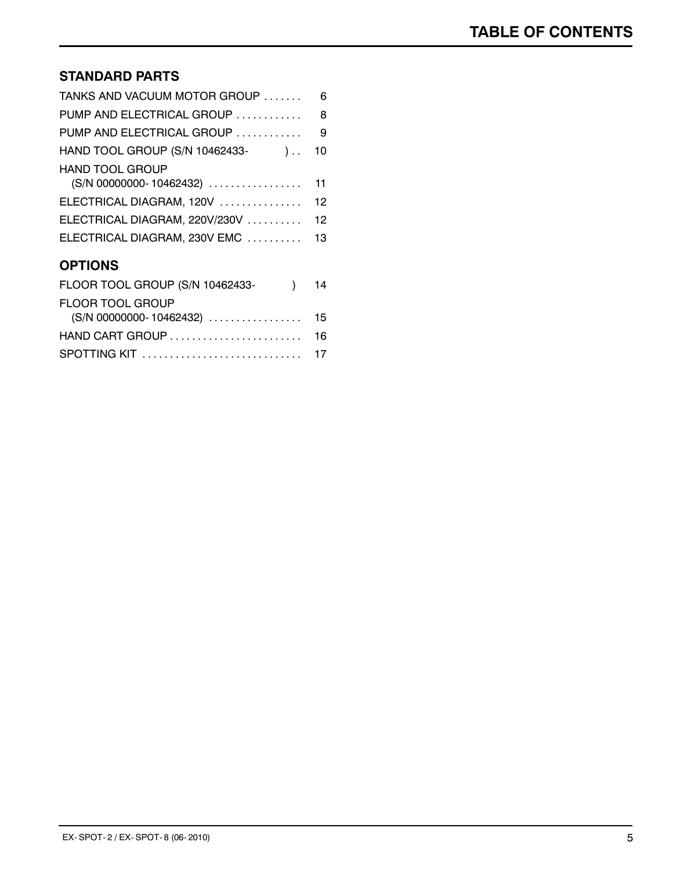### **STANDARD PARTS**

| TANKS AND VACUUM MOTOR GROUP                         | 6  |
|------------------------------------------------------|----|
| PUMP AND ELECTRICAL GROUP                            | 8  |
| PUMP AND ELECTRICAL GROUP                            | 9  |
| HAND TOOL GROUP (S/N 10462433-<br>). $10$            |    |
| <b>HAND TOOL GROUP</b><br>$(S/N)$ 00000000-10462432) | 11 |
| ELECTRICAL DIAGRAM, 120V                             | 12 |
| ELECTRICAL DIAGRAM, 220V/230V                        | 12 |
| ELECTRICAL DIAGRAM, 230V EMC  13                     |    |
| <b>OPTIONS</b>                                       |    |
|                                                      |    |

| FLOOR TOOL GROUP (S/N 10462433- ) 14 |  |
|--------------------------------------|--|
| <b>FLOOR TOOL GROUP</b>              |  |
| (S/N 00000000- 10462432) 15          |  |
|                                      |  |
| SPOTTING KIT  17                     |  |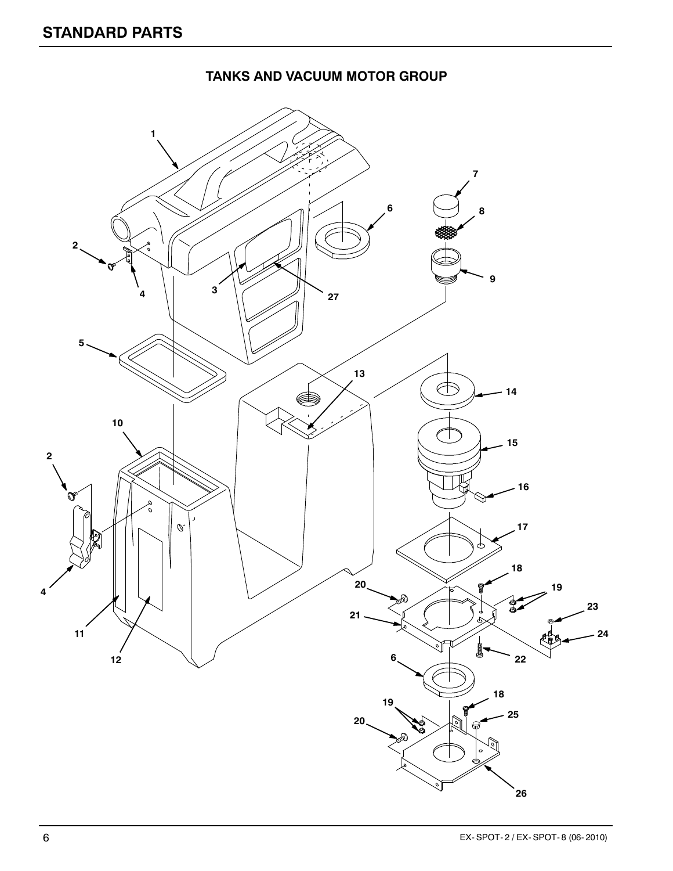#### **TANKS AND VACUUM MOTOR GROUP**

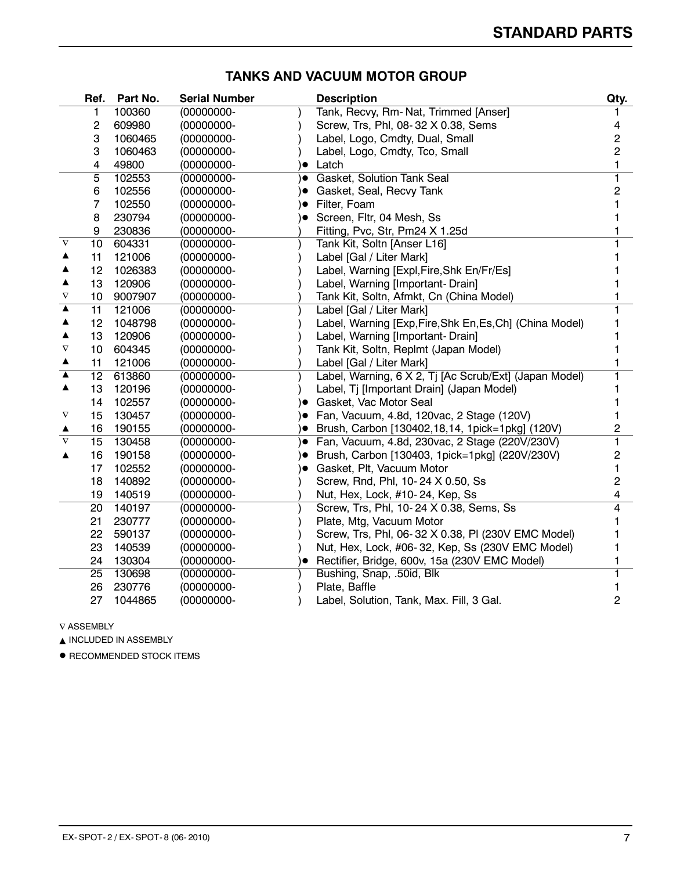|                       | Ref. | Part No. | <b>Serial Number</b> |           | <b>Description</b>                                       | Qty.                    |
|-----------------------|------|----------|----------------------|-----------|----------------------------------------------------------|-------------------------|
|                       | 1    | 100360   | $(00000000 -$        |           | Tank, Recvy, Rm- Nat, Trimmed [Anser]                    |                         |
|                       | 2    | 609980   | (00000000-           |           | Screw, Trs, Phl, 08-32 X 0.38, Sems                      | 4                       |
|                       | 3    | 1060465  | (00000000-           |           | Label, Logo, Cmdty, Dual, Small                          | $\overline{\mathbf{c}}$ |
|                       | 3    | 1060463  | $(00000000 -$        |           | Label, Logo, Cmdty, Tco, Small                           | $\overline{\mathbf{c}}$ |
|                       | 4    | 49800    | $(00000000 -$        | $\bullet$ | Latch                                                    | 1                       |
|                       | 5    | 102553   | $(00000000 -$        | )●        | Gasket, Solution Tank Seal                               | 1                       |
|                       | 6    | 102556   | $(00000000 -$        | )●        | Gasket, Seal, Recvy Tank                                 | $\overline{\mathbf{c}}$ |
|                       | 7    | 102550   | $(00000000 -$        | ۱о        | Filter, Foam                                             |                         |
|                       | 8    | 230794   | $(00000000 -$        |           | Screen, Fltr, 04 Mesh, Ss                                |                         |
|                       | 9    | 230836   | (00000000-           |           | Fitting, Pvc, Str, Pm24 X 1.25d                          |                         |
| $\boldsymbol{\nabla}$ | 10   | 604331   | (00000000-           |           | Tank Kit, Soltn [Anser L16]                              | 1                       |
|                       | 11   | 121006   | $(00000000 -$        |           | Label [Gal / Liter Mark]                                 |                         |
| ▲                     | 12   | 1026383  | $(00000000 -$        |           | Label, Warning [Expl, Fire, Shk En/Fr/Es]                |                         |
| ▲                     | 13   | 120906   | $(00000000 -$        |           | Label, Warning [Important-Drain]                         |                         |
| $\nabla$              | 10   | 9007907  | $(00000000 -$        |           | Tank Kit, Soltn, Afmkt, Cn (China Model)                 |                         |
| ▲                     | 11   | 121006   | $(00000000 -$        |           | Label [Gal / Liter Mark]                                 | 1                       |
| ▲                     | 12   | 1048798  | $(00000000 -$        |           | Label, Warning [Exp, Fire, Shk En, Es, Ch] (China Model) | 1                       |
| ▲                     | 13   | 120906   | $(00000000 -$        |           | Label, Warning [Important-Drain]                         |                         |
| $\nabla$              | 10   | 604345   | $(00000000 -$        |           | Tank Kit, Soltn, Replmt (Japan Model)                    |                         |
| ▲                     | 11   | 121006   | $(00000000 -$        |           | Label [Gal / Liter Mark]                                 | 1                       |
| ▲                     | 12   | 613860   | (00000000-           |           | Label, Warning, 6 X 2, Tj [Ac Scrub/Ext] (Japan Model)   | 1                       |
| ▲                     | 13   | 120196   | $(00000000 -$        |           | Label, Tj [Important Drain] (Japan Model)                |                         |
|                       | 14   | 102557   | (00000000-           | )●        | Gasket, Vac Motor Seal                                   |                         |
| V                     | 15   | 130457   | (00000000-           | )●        | Fan, Vacuum, 4.8d, 120vac, 2 Stage (120V)                |                         |
| ▲                     | 16   | 190155   | (00000000-           | )●        | Brush, Carbon [130402,18,14, 1pick=1pkg] (120V)          | 2                       |
| $\nabla$              | 15   | 130458   | (00000000-           |           | ) Fan, Vacuum, 4.8d, 230vac, 2 Stage (220V/230V)         | 1                       |
| ▲                     | 16   | 190158   | (00000000-           | )●        | Brush, Carbon [130403, 1pick=1pkg] (220V/230V)           | 2                       |
|                       | 17   | 102552   | $(00000000 -$        | )●        | Gasket, Plt, Vacuum Motor                                |                         |
|                       | 18   | 140892   | $(00000000 -$        |           | Screw, Rnd, Phl, 10-24 X 0.50, Ss                        | 2                       |
|                       | 19   | 140519   | (00000000-           |           | Nut, Hex, Lock, #10-24, Kep, Ss                          | 4                       |
|                       | 20   | 140197   | $(00000000 -$        |           | Screw, Trs, Phl, 10-24 X 0.38, Sems, Ss                  | 4                       |
|                       | 21   | 230777   | $(00000000 -$        |           | Plate, Mtg, Vacuum Motor                                 |                         |
|                       | 22   | 590137   | (00000000-           |           | Screw, Trs, Phl, 06-32 X 0.38, PI (230V EMC Model)       |                         |
|                       | 23   | 140539   | $(00000000 -$        |           | Nut, Hex, Lock, #06-32, Kep, Ss (230V EMC Model)         |                         |
|                       | 24   | 130304   | (00000000-           | $\bullet$ | Rectifier, Bridge, 600v, 15a (230V EMC Model)            |                         |
|                       | 25   | 130698   | (00000000-           |           | Bushing, Snap, .50id, Blk                                |                         |
|                       | 26   | 230776   | (00000000-           |           | Plate, Baffle                                            |                         |
|                       | 27   | 1044865  | (00000000-           |           | Label, Solution, Tank, Max. Fill, 3 Gal.                 | $\overline{c}$          |

#### **TANKS AND VACUUM MOTOR GROUP**

 $\nabla$  ASSEMBLY

 $\blacktriangle$  INCLUDED IN ASSEMBLY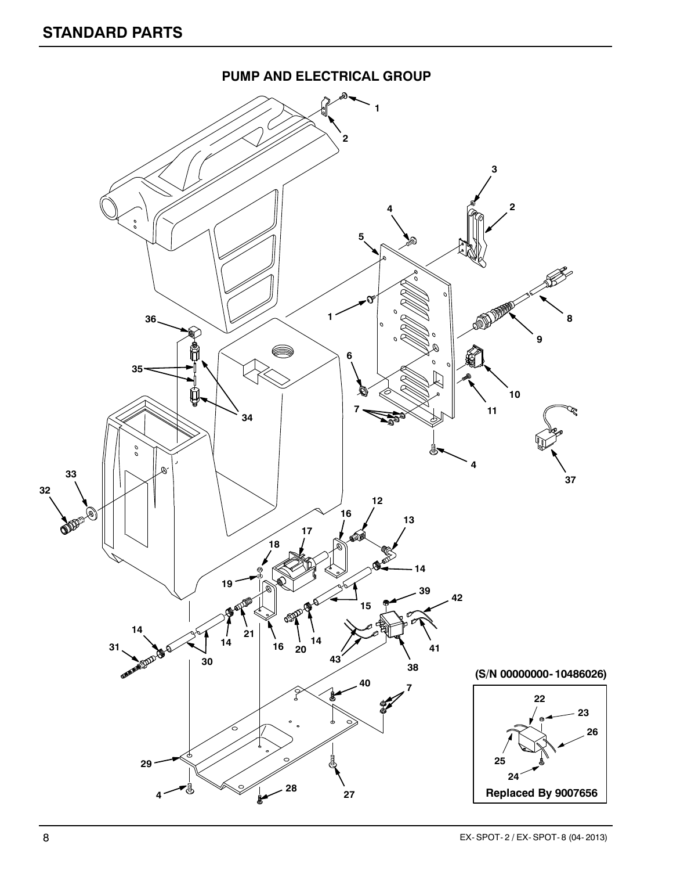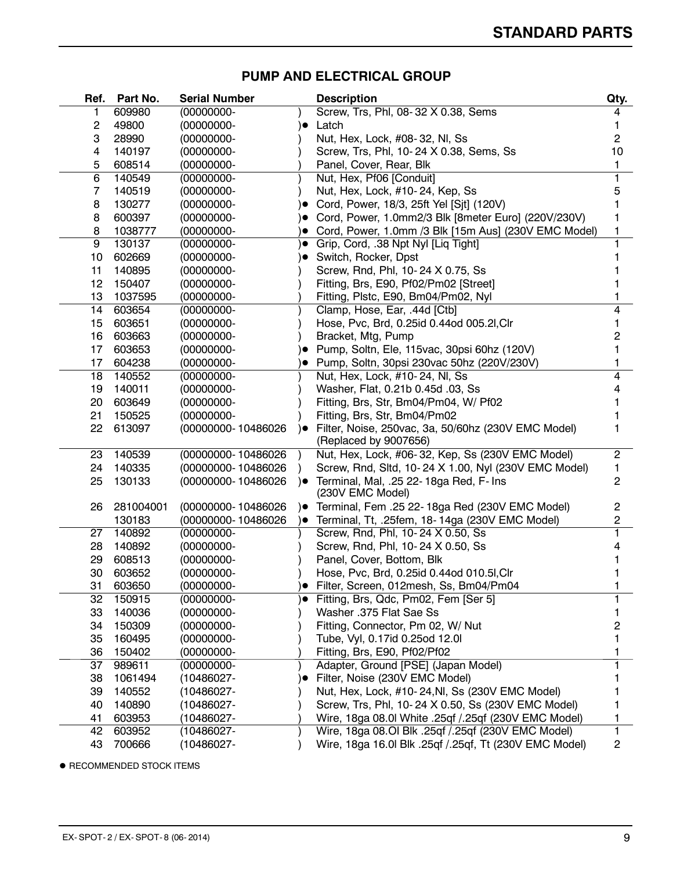| Ref. | Part No.  | <b>Serial Number</b> |           | <b>Description</b>                                         | Qty.           |
|------|-----------|----------------------|-----------|------------------------------------------------------------|----------------|
| 1    | 609980    | $(00000000 -$        |           | Screw, Trs, Phl, 08-32 X 0.38, Sems                        | 4              |
| 2    | 49800     | $(00000000 -$        | $\bullet$ | Latch                                                      |                |
| 3    | 28990     | $(00000000 -$        |           | Nut, Hex, Lock, #08-32, NI, Ss                             | 2              |
| 4    | 140197    | $(00000000 -$        |           | Screw, Trs, Phl, 10-24 X 0.38, Sems, Ss                    | 10             |
| 5    | 608514    | (00000000-           |           | Panel, Cover, Rear, Blk                                    |                |
| 6    | 140549    | $(00000000 -$        |           | Nut, Hex, Pf06 [Conduit]                                   | 1.             |
| 7    | 140519    | $(00000000 -$        |           | Nut, Hex, Lock, #10-24, Kep, Ss                            | 5              |
| 8    | 130277    | $(00000000 -$        |           | Cord, Power, 18/3, 25ft Yel [Sjt] (120V)                   |                |
| 8    | 600397    | $(00000000 -$        |           | Cord, Power, 1.0mm2/3 Blk [8meter Euro] (220V/230V)        |                |
| 8    | 1038777   | (00000000-           |           | Cord, Power, 1.0mm /3 Blk [15m Aus] (230V EMC Model)       |                |
| 9    | 130137    | $(00000000 -$        | $\bullet$ | Grip, Cord, .38 Npt Nyl [Liq Tight]                        | 1              |
| 10   | 602669    | $(00000000 -$        | $\bullet$ | Switch, Rocker, Dpst                                       |                |
| 11   | 140895    | $(00000000 -$        |           | Screw, Rnd, Phl, 10-24 X 0.75, Ss                          |                |
| 12   | 150407    | $(00000000 -$        |           | Fitting, Brs, E90, Pf02/Pm02 [Street]                      |                |
| 13   | 1037595   | (00000000-           |           | Fitting, Plstc, E90, Bm04/Pm02, Nyl                        |                |
| 14   | 603654    | $(00000000 -$        |           | Clamp, Hose, Ear, .44d [Ctb]                               | 4              |
| 15   | 603651    | $(00000000 -$        |           | Hose, Pvc, Brd, 0.25id 0.44od 005.2I, Clr                  |                |
| 16   | 603663    | $(00000000 -$        |           | Bracket, Mtg, Pump                                         | 2              |
| 17   | 603653    | $(00000000 -$        |           | Pump, Soltn, Ele, 115vac, 30psi 60hz (120V)                |                |
| 17   | 604238    | (00000000-           |           | Pump, Soltn, 30psi 230vac 50hz (220V/230V)                 |                |
| 18   | 140552    | $(00000000 -$        |           | Nut, Hex, Lock, #10-24, NI, Ss                             | 4              |
| 19   | 140011    | $(00000000 -$        |           | Washer, Flat, 0.21b 0.45d .03, Ss                          |                |
| 20   | 603649    | $(00000000 -$        |           | Fitting, Brs, Str, Bm04/Pm04, W/ Pf02                      |                |
| 21   | 150525    | $(00000000 -$        |           | Fitting, Brs, Str, Bm04/Pm02                               |                |
| 22   | 613097    | (00000000-10486026   | )●        | Filter, Noise, 250vac, 3a, 50/60hz (230V EMC Model)        |                |
|      |           |                      |           | (Replaced by 9007656)                                      |                |
| 23   | 140539    | (00000000-10486026   |           | Nut, Hex, Lock, #06-32, Kep, Ss (230V EMC Model)           | $\overline{c}$ |
| 24   | 140335    | (00000000-10486026   |           | Screw, Rnd, Sltd, 10-24 X 1.00, Nyl (230V EMC Model)       | 1.             |
| 25   | 130133    | (00000000-10486026   | )●        | Terminal, Mal, .25 22-18ga Red, F- Ins<br>(230V EMC Model) | 2              |
| 26   | 281004001 | (00000000-10486026   | )●        | Terminal, Fem .25 22-18ga Red (230V EMC Model)             | 2              |
|      | 130183    | (00000000-10486026   | $\bullet$ | Terminal, Tt, .25fem, 18-14ga (230V EMC Model)             | 2              |
| 27   | 140892    | $(00000000 -$        |           | Screw, Rnd, Phl, 10-24 X 0.50, Ss                          | 1              |
| 28   | 140892    | $(00000000 -$        |           | Screw, Rnd, Phl, 10-24 X 0.50, Ss                          |                |
| 29   | 608513    | $(00000000 -$        |           | Panel, Cover, Bottom, Blk                                  |                |
| 30   | 603652    | $(00000000 -$        |           | Hose, Pvc, Brd, 0.25id 0.44od 010.5l, Clr                  |                |
| 31   | 603650    | (00000000-           |           | Filter, Screen, 012mesh, Ss, Bm04/Pm04                     |                |
| 32   | 150915    | (00000000-           |           | Fitting, Brs, Qdc, Pm02, Fem [Ser 5]                       |                |
| 33   | 140036    | $(00000000 -$        |           | Washer .375 Flat Sae Ss                                    |                |
| 34   | 150309    | $(00000000 -$        |           | Fitting, Connector, Pm 02, W/ Nut                          | 2              |
| 35   | 160495    | $(00000000 -$        |           | Tube, Vyl, 0.17id 0.25od 12.0l                             |                |
| 36   | 150402    | (00000000-           |           | Fitting, Brs, E90, Pf02/Pf02                               |                |
| 37   | 989611    | (00000000-           |           | Adapter, Ground [PSE] (Japan Model)                        | 1              |
| 38   | 1061494   | (10486027-           | $\bullet$ | Filter, Noise (230V EMC Model)                             |                |
| 39   | 140552    | (10486027-           |           | Nut, Hex, Lock, #10-24, NI, Ss (230V EMC Model)            |                |
| 40   | 140890    | (10486027-           |           | Screw, Trs, Phl, 10-24 X 0.50, Ss (230V EMC Model)         |                |
| 41   | 603953    | (10486027-           |           | Wire, 18ga 08.0l White .25qf /.25qf (230V EMC Model)       | L              |
| 42   | 603952    | (10486027-           |           | Wire, 18ga 08.01 Blk .25qf / 25qf (230V EMC Model)         | 1              |
| 43   | 700666    | (10486027-           |           | Wire, 18ga 16.0 Blk .25qf / 25qf, Tt (230V EMC Model)      | 2              |
|      |           |                      |           |                                                            |                |

#### **PUMP AND ELECTRICAL GROUP**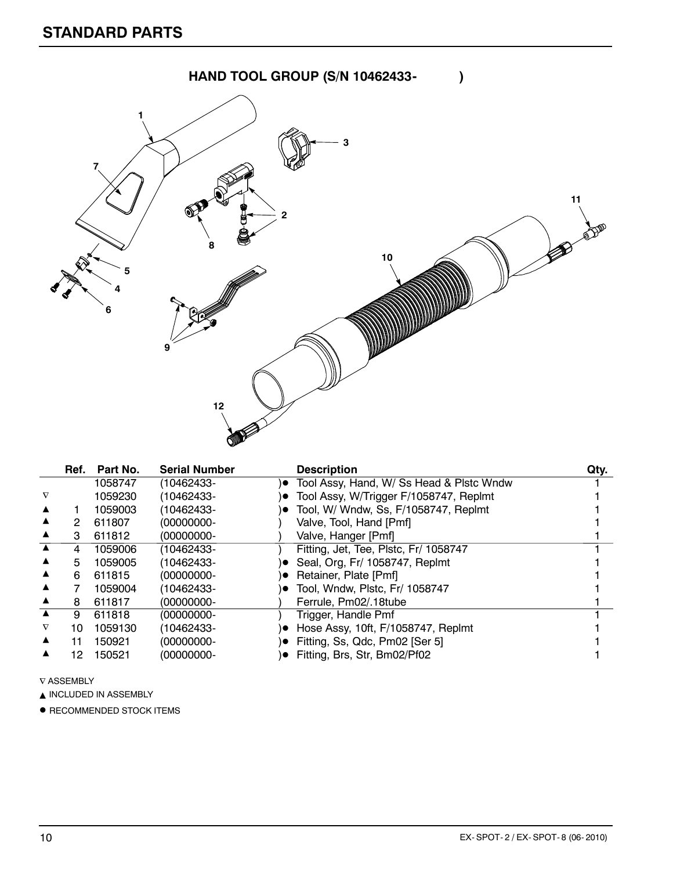

|                       | Ref. | Part No. | <b>Serial Number</b> |           | <b>Description</b>                       | Qty. |
|-----------------------|------|----------|----------------------|-----------|------------------------------------------|------|
|                       |      | 1058747  | (10462433-           | $\bullet$ | Tool Assy, Hand, W/ Ss Head & Plstc Wndw |      |
| $\boldsymbol{\nabla}$ |      | 1059230  | (10462433-           | $\bullet$ | Tool Assy, W/Trigger F/1058747, Replmt   |      |
|                       |      | 1059003  | (10462433-           |           | Tool, W/ Wndw, Ss, F/1058747, Replmt     |      |
|                       | 2    | 611807   | (00000000-           |           | Valve, Tool, Hand [Pmf]                  |      |
|                       | З    | 611812   | (00000000-           |           | Valve, Hanger [Pmf]                      |      |
|                       | 4    | 1059006  | (10462433-           |           | Fitting, Jet, Tee, Plstc, Fr/ 1058747    |      |
|                       | 5    | 1059005  | (10462433-           |           | Seal, Org, Fr/ 1058747, Replmt           |      |
|                       | 6    | 611815   | (00000000-           |           | Retainer, Plate [Pmf]                    |      |
|                       |      | 1059004  | (10462433-           |           | Tool, Wndw, Plstc, Fr/ 1058747           |      |
|                       | 8    | 611817   | (00000000-           |           | Ferrule, Pm02/18tube                     |      |
|                       | 9    | 611818   | (00000000-           |           | Trigger, Handle Pmf                      |      |
|                       | 10.  | 1059130  | (10462433-           | $\bullet$ | Hose Assy, 10ft, F/1058747, Replmt       |      |
|                       | 11   | 150921   | (00000000-           |           | Fitting, Ss, Qdc, Pm02 [Ser 5]           |      |
|                       | 12   | 150521   | (00000000-           |           | Fitting, Brs, Str, Bm02/Pf02             |      |

 $\nabla$  ASSEMBLY

 $\blacktriangle$  INCLUDED IN ASSEMBLY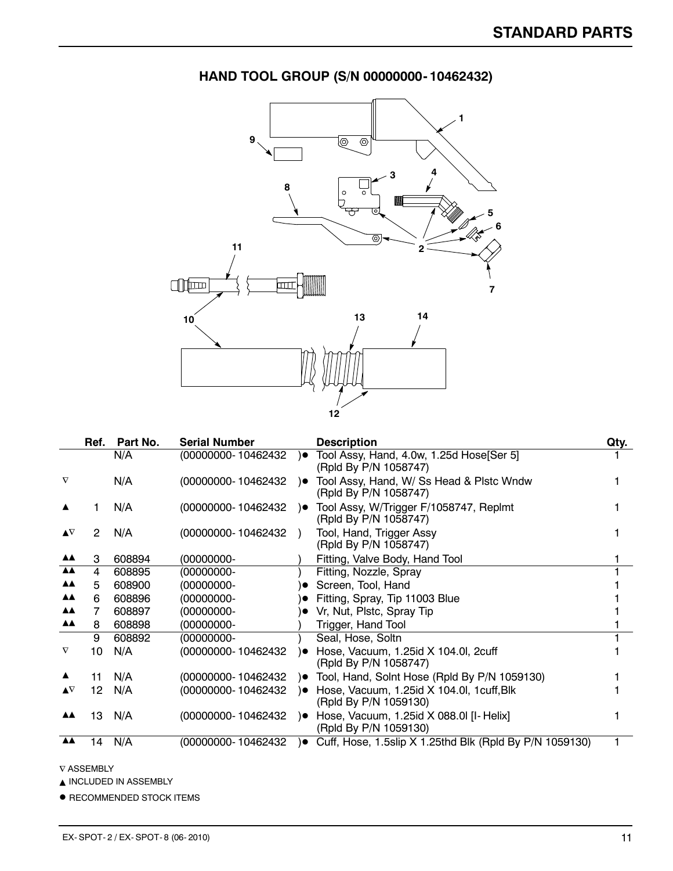

### **HAND TOOL GROUP (S/N 00000000- 10462432)**

|                         | Ref. | Part No. | <b>Serial Number</b> |               | <b>Description</b>                                                 | Qty. |
|-------------------------|------|----------|----------------------|---------------|--------------------------------------------------------------------|------|
|                         |      | N/A      | (00000000-10462432   | $\bullet$     | Tool Assy, Hand, 4.0w, 1.25d Hose[Ser 5]<br>(Rpld By P/N 1058747)  |      |
| $\nabla$                |      | N/A      | (00000000-10462432   | ∖●            | Tool Assy, Hand, W/ Ss Head & Pistc Wndw<br>(Rpld By P/N 1058747)  |      |
|                         |      | N/A      | (00000000-10462432   | ∖●            | Tool Assy, W/Trigger F/1058747, Replmt<br>(Rpld By P/N 1058747)    |      |
| $\blacktriangle \nabla$ | 2    | N/A      | (00000000-10462432   | $\rightarrow$ | Tool, Hand, Trigger Assy<br>(Rpld By P/N 1058747)                  |      |
| ▲▲                      | 3    | 608894   | (00000000-           |               | Fitting, Valve Body, Hand Tool                                     |      |
| <b>AA</b>               | 4    | 608895   | $(00000000 -$        |               | Fitting, Nozzle, Spray                                             |      |
| <b>AA</b>               | 5    | 608900   | $(00000000 -$        |               | Screen, Tool, Hand                                                 |      |
| <b>AA</b>               | 6    | 608896   | $(00000000 -$        |               | Fitting, Spray, Tip 11003 Blue                                     |      |
| <b>AA</b>               |      | 608897   | $(00000000 -$        |               | • Vr, Nut, Plstc, Spray Tip                                        |      |
| <b>AA</b>               | 8    | 608898   | $(00000000 -$        |               | Trigger, Hand Tool                                                 |      |
|                         | 9    | 608892   | $(00000000 -$        |               | Seal, Hose, Soltn                                                  |      |
| $\nabla$                | 10   | N/A      | (00000000-10462432   | ) O           | Hose, Vacuum, 1.25id X 104.0l, 2cuff<br>(Rpld By P/N 1058747)      |      |
|                         | 11   | N/A      | (00000000-10462432   | )●            | Tool, Hand, Solnt Hose (Rpld By P/N 1059130)                       |      |
| $\blacktriangle \nabla$ | 12   | N/A      | (00000000-10462432   | ∖●            | Hose, Vacuum, 1.25id X 104.0l, 1cuff, Blk<br>(Rpld By P/N 1059130) |      |
| <b>AA</b>               | 13   | N/A      | (00000000-10462432   | )●            | Hose, Vacuum, 1.25id X 088.0l [I- Helix]<br>(Rpld By P/N 1059130)  |      |
| <b>AA</b>               | 14   | N/A      | (00000000-10462432   | $\bullet$     | Cuff, Hose, 1.5slip X 1.25thd Blk (Rpld By P/N 1059130)            |      |

 $\nabla$  ASSEMBLY

 $\blacktriangle$  INCLUDED IN ASSEMBLY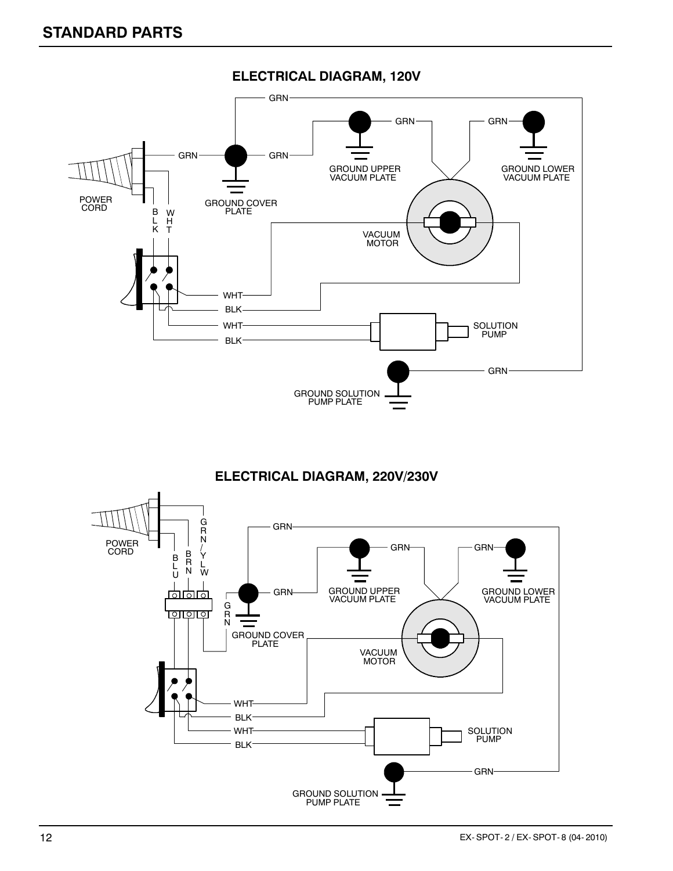

#### **ELECTRICAL DIAGRAM, 120V**

#### **ELECTRICAL DIAGRAM, 220V/230V**

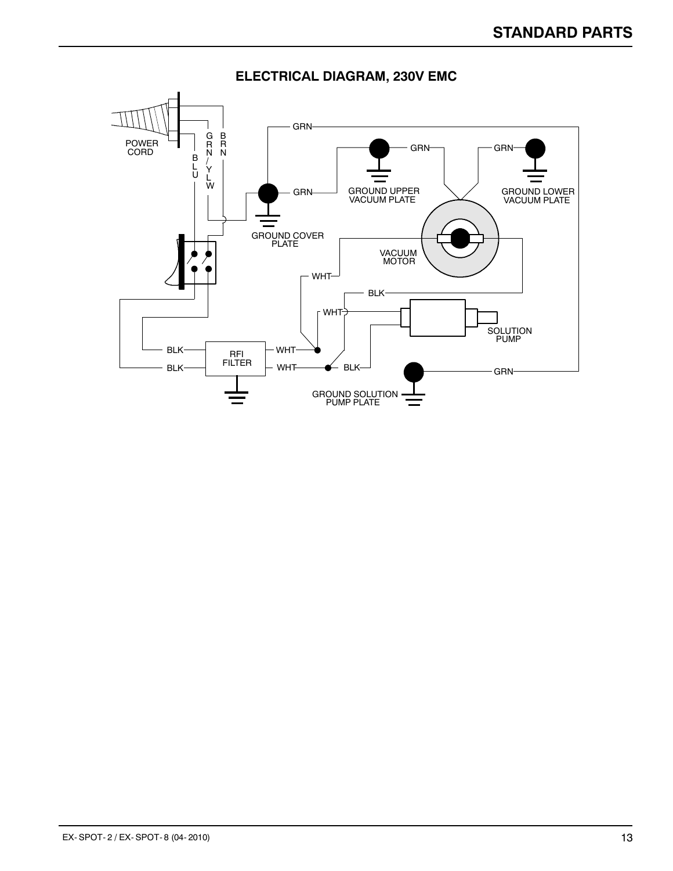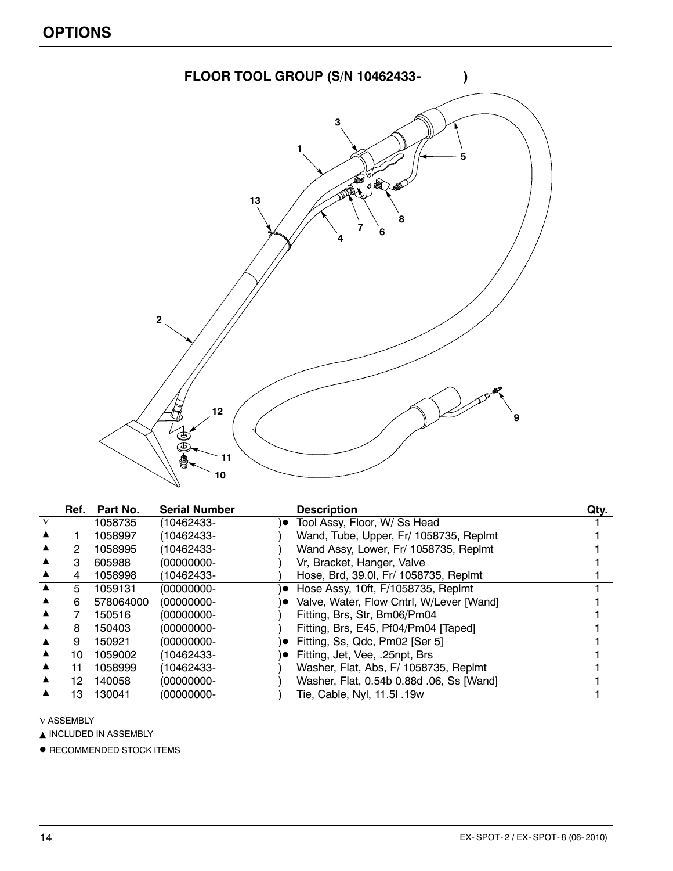

|          | Ref. | Part No.  | <b>Serial Number</b> |           | <b>Description</b>                       | Qty. |
|----------|------|-----------|----------------------|-----------|------------------------------------------|------|
| $\nabla$ |      | 1058735   | (10462433-           | $\bullet$ | Tool Assy, Floor, W/ Ss Head             |      |
|          |      | 1058997   | (10462433-           |           | Wand, Tube, Upper, Fr/ 1058735, Replmt   |      |
|          | 2    | 1058995   | (10462433-           |           | Wand Assy, Lower, Fr/ 1058735, Replmt    |      |
|          | З    | 605988    | (00000000-           |           | Vr, Bracket, Hanger, Valve               |      |
|          | 4    | 1058998   | (10462433-           |           | Hose, Brd, 39.0, Fr/ 1058735, Replmt     |      |
|          | 5.   | 1059131   | (00000000-           | ۰         | Hose Assy, 10ft, F/1058735, Replmt       |      |
|          | 6    | 578064000 | (00000000-           |           | Valve, Water, Flow Cntrl, W/Lever [Wand] |      |
|          |      | 150516    | (00000000-           |           | Fitting, Brs, Str, Bm06/Pm04             |      |
|          | 8    | 150403    | (00000000-           |           | Fitting, Brs, E45, Pf04/Pm04 [Taped]     |      |
|          | 9    | 150921    | (00000000-           |           | Fitting, Ss, Qdc, Pm02 [Ser 5]           |      |
|          | 10   | 1059002   | (10462433-           | $\bullet$ | Fitting, Jet, Vee, .25npt, Brs           |      |
|          | 11   | 1058999   | (10462433-           |           | Washer, Flat, Abs, F/ 1058735, Replmt    |      |
|          | 12   | 140058    | (00000000-           |           | Washer, Flat, 0.54b 0.88d .06, Ss [Wand] |      |
|          | 13   | 130041    | (00000000-           |           | Tie, Cable, Nyl, 11.5l .19w              |      |

 $\nabla$  ASSEMBLY

 $\blacktriangle$  INCLUDED IN ASSEMBLY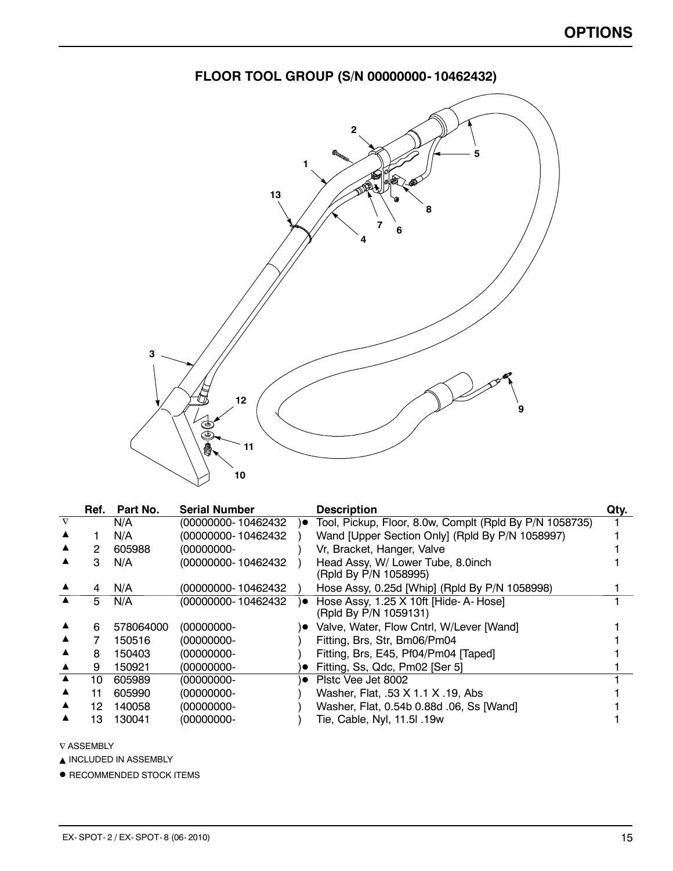

|  | FLOOR TOOL GROUP (S/N 00000000- 10462432) |
|--|-------------------------------------------|
|--|-------------------------------------------|

|          | Ref. | Part No.  | <b>Serial Number</b> |     | <b>Description</b>                                            | Qty. |
|----------|------|-----------|----------------------|-----|---------------------------------------------------------------|------|
| $\nabla$ |      | N/A       | (00000000-10462432   | )●  | Tool, Pickup, Floor, 8.0w, Complt (Rpld By P/N 1058735)       |      |
|          |      | N/A       | (00000000-10462432   |     | Wand [Upper Section Only] (Rpld By P/N 1058997)               |      |
|          |      | 605988    | (00000000-           |     | Vr, Bracket, Hanger, Valve                                    |      |
|          | 3    | N/A       | (00000000-10462432   |     | Head Assy, W/ Lower Tube, 8.0inch<br>(Rpld By P/N 1058995)    |      |
|          | 4    | N/A       | (00000000- 10462432  |     | Hose Assy, 0.25d [Whip] (Rpld By P/N 1058998)                 |      |
|          | 5    | N/A       | (00000000-10462432   | ه ( | Hose Assy, 1.25 X 10ft [Hide-A-Hose]<br>(Rpld By P/N 1059131) |      |
|          | 6    | 578064000 | $(00000000 -$        |     | Valve, Water, Flow Cntrl, W/Lever [Wand]                      |      |
|          |      | 150516    | (00000000-           |     | Fitting, Brs, Str, Bm06/Pm04                                  |      |
|          | 8    | 150403    | (00000000-           |     | Fitting, Brs, E45, Pf04/Pm04 [Taped]                          |      |
|          | 9    | 150921    | (00000000-           |     | Fitting, Ss, Qdc, Pm02 [Ser 5]                                |      |
|          | 10   | 605989    | (00000000-           | ۱e  | Plstc Vee Jet 8002                                            |      |
|          | 11   | 605990    | $(00000000 -$        |     | Washer, Flat, .53 X 1.1 X .19, Abs                            |      |
|          | 12.  | 140058    | (00000000-           |     | Washer, Flat, 0.54b 0.88d .06, Ss [Wand]                      |      |
|          | 13   | 130041    | $(00000000 -$        |     | Tie, Cable, Nyl, 11.5l .19w                                   |      |

 $\nabla$  ASSEMBLY

 $\blacktriangle$  INCLUDED IN ASSEMBLY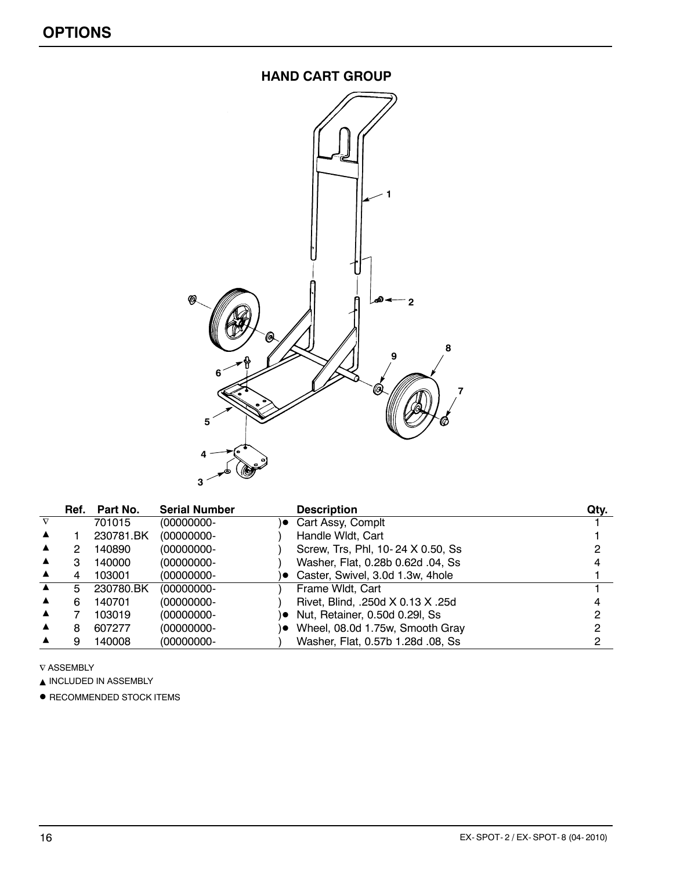#### **HAND CART GROUP**



| Ref. | Part No.  | <b>Serial Number</b> |    | <b>Description</b>                | Qty. |
|------|-----------|----------------------|----|-----------------------------------|------|
|      | 701015    | (00000000-           |    | )● Cart Assy, Complt              |      |
|      | 230781.BK | (00000000-           |    | Handle Wldt, Cart                 |      |
|      | 140890    | (00000000-           |    | Screw, Trs, Phl, 10-24 X 0.50, Ss |      |
| з    | 140000    | (00000000-           |    | Washer, Flat, 0.28b 0.62d .04, Ss |      |
|      | 103001    | (00000000-           |    | Caster, Swivel, 3.0d 1.3w, 4hole  |      |
| 5    | 230780.BK | (00000000-           |    | Frame Widt, Cart                  |      |
| 6    | 140701    | (00000000-           |    | Rivet, Blind, .250d X 0.13 X .25d |      |
|      | 103019    | (00000000-           | ۱о | Nut, Retainer, 0.50d 0.29l, Ss    |      |
| 8    | 607277    | (00000000-           |    | Wheel, 08.0d 1.75w, Smooth Gray   |      |
|      | 140008    | (00000000-           |    | Washer, Flat, 0.57b 1.28d .08, Ss |      |

 $\nabla$  ASSEMBLY

 $\blacktriangle$  INCLUDED IN ASSEMBLY